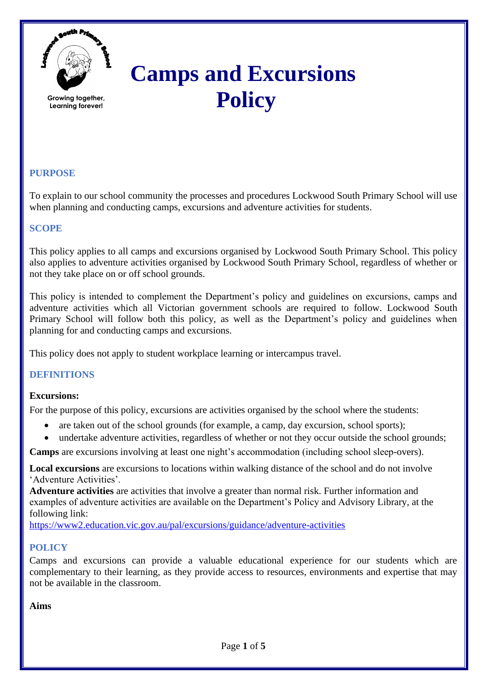

**Growing together, Learning forever!**

# **Camps and Excursions Policy**

## **PURPOSE**

To explain to our school community the processes and procedures Lockwood South Primary School will use when planning and conducting camps, excursions and adventure activities for students.

## **SCOPE**

This policy applies to all camps and excursions organised by Lockwood South Primary School. This policy also applies to adventure activities organised by Lockwood South Primary School, regardless of whether or not they take place on or off school grounds.

This policy is intended to complement the Department's policy and guidelines on excursions, camps and adventure activities which all Victorian government schools are required to follow. Lockwood South Primary School will follow both this policy, as well as the Department's policy and guidelines when planning for and conducting camps and excursions.

This policy does not apply to student workplace learning or intercampus travel.

## **DEFINITIONS**

### **Excursions:**

For the purpose of this policy, excursions are activities organised by the school where the students:

- are taken out of the school grounds (for example, a camp, day excursion, school sports);
- undertake adventure activities, regardless of whether or not they occur outside the school grounds;

**Camps** are excursions involving at least one night's accommodation (including school sleep-overs).

**Local excursions** are excursions to locations within walking distance of the school and do not involve 'Adventure Activities'.

**Adventure activities** are activities that involve a greater than normal risk. Further information and examples of adventure activities are available on the Department's Policy and Advisory Library, at the following link:

<https://www2.education.vic.gov.au/pal/excursions/guidance/adventure-activities>

## **POLICY**

Camps and excursions can provide a valuable educational experience for our students which are complementary to their learning, as they provide access to resources, environments and expertise that may not be available in the classroom.

**Aims**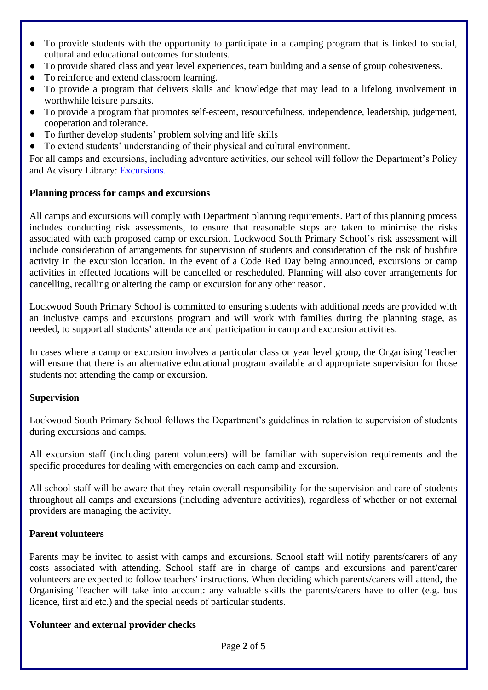- To provide students with the opportunity to participate in a camping program that is linked to social, cultural and educational outcomes for students.
- To provide shared class and year level experiences, team building and a sense of group cohesiveness.
- To reinforce and extend classroom learning.
- To provide a program that delivers skills and knowledge that may lead to a lifelong involvement in worthwhile leisure pursuits.
- To provide a program that promotes self-esteem, resourcefulness, independence, leadership, judgement, cooperation and tolerance.
- To further develop students' problem solving and life skills
- To extend students' understanding of their physical and cultural environment.

For all camps and excursions, including adventure activities, our school will follow the Department's Policy and Advisory Library: [Excursions.](https://www2.education.vic.gov.au/pal/excursions/policy)

## **Planning process for camps and excursions**

All camps and excursions will comply with Department planning requirements. Part of this planning process includes conducting risk assessments, to ensure that reasonable steps are taken to minimise the risks associated with each proposed camp or excursion. Lockwood South Primary School's risk assessment will include consideration of arrangements for supervision of students and consideration of the risk of bushfire activity in the excursion location. In the event of a Code Red Day being announced, excursions or camp activities in effected locations will be cancelled or rescheduled. Planning will also cover arrangements for cancelling, recalling or altering the camp or excursion for any other reason.

Lockwood South Primary School is committed to ensuring students with additional needs are provided with an inclusive camps and excursions program and will work with families during the planning stage, as needed, to support all students' attendance and participation in camp and excursion activities.

In cases where a camp or excursion involves a particular class or year level group, the Organising Teacher will ensure that there is an alternative educational program available and appropriate supervision for those students not attending the camp or excursion.

## **Supervision**

Lockwood South Primary School follows the Department's guidelines in relation to supervision of students during excursions and camps.

All excursion staff (including parent volunteers) will be familiar with supervision requirements and the specific procedures for dealing with emergencies on each camp and excursion.

All school staff will be aware that they retain overall responsibility for the supervision and care of students throughout all camps and excursions (including adventure activities), regardless of whether or not external providers are managing the activity.

## **Parent volunteers**

Parents may be invited to assist with camps and excursions. School staff will notify parents/carers of any costs associated with attending. School staff are in charge of camps and excursions and parent/carer volunteers are expected to follow teachers' instructions. When deciding which parents/carers will attend, the Organising Teacher will take into account: any valuable skills the parents/carers have to offer (e.g. bus licence, first aid etc.) and the special needs of particular students.

## **Volunteer and external provider checks**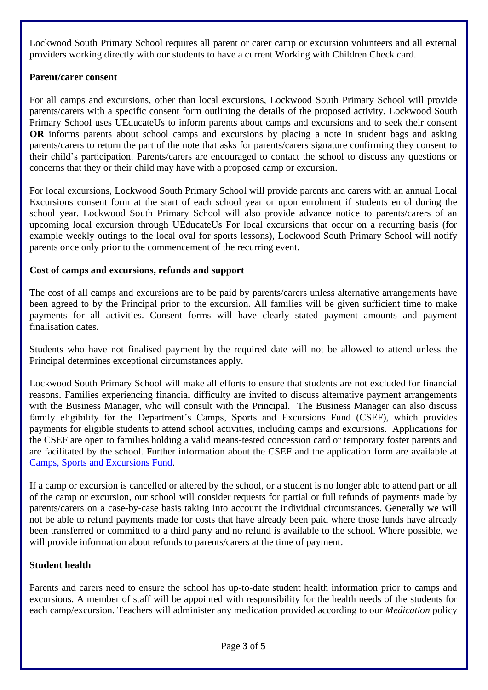Lockwood South Primary School requires all parent or carer camp or excursion volunteers and all external providers working directly with our students to have a current Working with Children Check card.

### **Parent/carer consent**

For all camps and excursions, other than local excursions, Lockwood South Primary School will provide parents/carers with a specific consent form outlining the details of the proposed activity. Lockwood South Primary School uses UEducateUs to inform parents about camps and excursions and to seek their consent **OR** informs parents about school camps and excursions by placing a note in student bags and asking parents/carers to return the part of the note that asks for parents/carers signature confirming they consent to their child's participation. Parents/carers are encouraged to contact the school to discuss any questions or concerns that they or their child may have with a proposed camp or excursion.

For local excursions, Lockwood South Primary School will provide parents and carers with an annual Local Excursions consent form at the start of each school year or upon enrolment if students enrol during the school year. Lockwood South Primary School will also provide advance notice to parents/carers of an upcoming local excursion through UEducateUs For local excursions that occur on a recurring basis (for example weekly outings to the local oval for sports lessons), Lockwood South Primary School will notify parents once only prior to the commencement of the recurring event.

#### **Cost of camps and excursions, refunds and support**

The cost of all camps and excursions are to be paid by parents/carers unless alternative arrangements have been agreed to by the Principal prior to the excursion. All families will be given sufficient time to make payments for all activities. Consent forms will have clearly stated payment amounts and payment finalisation dates.

Students who have not finalised payment by the required date will not be allowed to attend unless the Principal determines exceptional circumstances apply.

Lockwood South Primary School will make all efforts to ensure that students are not excluded for financial reasons. Families experiencing financial difficulty are invited to discuss alternative payment arrangements with the Business Manager, who will consult with the Principal. The Business Manager can also discuss family eligibility for the Department's Camps, Sports and Excursions Fund (CSEF), which provides payments for eligible students to attend school activities, including camps and excursions. Applications for the CSEF are open to families holding a valid means-tested concession card or temporary foster parents and are facilitated by the school. Further information about the CSEF and the application form are available at [Camps, Sports and Excursions Fund.](https://www2.education.vic.gov.au/pal/camps-sports-and-excursions-fund/policy)

If a camp or excursion is cancelled or altered by the school, or a student is no longer able to attend part or all of the camp or excursion, our school will consider requests for partial or full refunds of payments made by parents/carers on a case-by-case basis taking into account the individual circumstances. Generally we will not be able to refund payments made for costs that have already been paid where those funds have already been transferred or committed to a third party and no refund is available to the school. Where possible, we will provide information about refunds to parents/carers at the time of payment.

### **Student health**

Parents and carers need to ensure the school has up-to-date student health information prior to camps and excursions. A member of staff will be appointed with responsibility for the health needs of the students for each camp/excursion. Teachers will administer any medication provided according to our *Medication* policy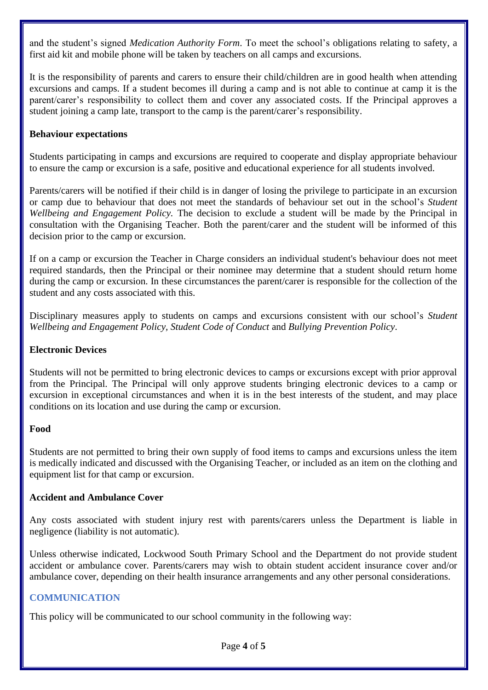and the student's signed *Medication Authority Form*. To meet the school's obligations relating to safety, a first aid kit and mobile phone will be taken by teachers on all camps and excursions.

It is the responsibility of parents and carers to ensure their child/children are in good health when attending excursions and camps. If a student becomes ill during a camp and is not able to continue at camp it is the parent/carer's responsibility to collect them and cover any associated costs. If the Principal approves a student joining a camp late, transport to the camp is the parent/carer's responsibility.

#### **Behaviour expectations**

Students participating in camps and excursions are required to cooperate and display appropriate behaviour to ensure the camp or excursion is a safe, positive and educational experience for all students involved.

Parents/carers will be notified if their child is in danger of losing the privilege to participate in an excursion or camp due to behaviour that does not meet the standards of behaviour set out in the school's *Student Wellbeing and Engagement Policy.* The decision to exclude a student will be made by the Principal in consultation with the Organising Teacher. Both the parent/carer and the student will be informed of this decision prior to the camp or excursion.

If on a camp or excursion the Teacher in Charge considers an individual student's behaviour does not meet required standards, then the Principal or their nominee may determine that a student should return home during the camp or excursion. In these circumstances the parent/carer is responsible for the collection of the student and any costs associated with this.

Disciplinary measures apply to students on camps and excursions consistent with our school's *Student Wellbeing and Engagement Policy, Student Code of Conduct* and *Bullying Prevention Policy*.

#### **Electronic Devices**

Students will not be permitted to bring electronic devices to camps or excursions except with prior approval from the Principal. The Principal will only approve students bringing electronic devices to a camp or excursion in exceptional circumstances and when it is in the best interests of the student, and may place conditions on its location and use during the camp or excursion.

#### **Food**

Students are not permitted to bring their own supply of food items to camps and excursions unless the item is medically indicated and discussed with the Organising Teacher, or included as an item on the clothing and equipment list for that camp or excursion.

#### **Accident and Ambulance Cover**

Any costs associated with student injury rest with parents/carers unless the Department is liable in negligence (liability is not automatic).

Unless otherwise indicated, Lockwood South Primary School and the Department do not provide student accident or ambulance cover. Parents/carers may wish to obtain student accident insurance cover and/or ambulance cover, depending on their health insurance arrangements and any other personal considerations.

### **COMMUNICATION**

This policy will be communicated to our school community in the following way: